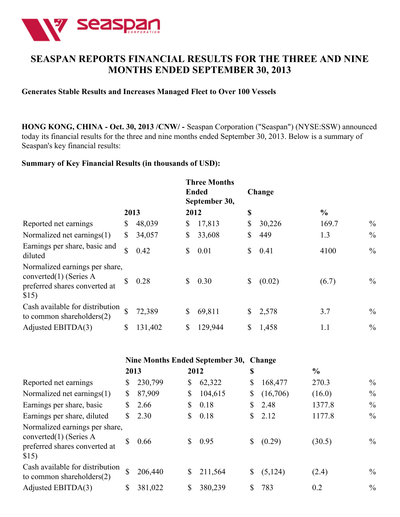

# **SEASPAN REPORTS FINANCIAL RESULTS FOR THE THREE AND NINE MONTHS ENDED SEPTEMBER 30, 2013**

### **Generates Stable Results and Increases Managed Fleet to Over 100 Vessels**

**HONG KONG, CHINA - Oct. 30, 2013 /CNW/ -** Seaspan Corporation ("Seaspan") (NYSE:SSW) announced today its financial results for the three and nine months ended September 30, 2013. Below is a summary of Seaspan's key financial results:

## **Summary of Key Financial Results (in thousands of USD):**

|                                                                                                       |              |         |              | <b>Three Months</b><br><b>Ended</b><br>September 30, | Change       |               |               |
|-------------------------------------------------------------------------------------------------------|--------------|---------|--------------|------------------------------------------------------|--------------|---------------|---------------|
|                                                                                                       | 2013         |         | 2012         |                                                      | \$           | $\frac{6}{6}$ |               |
| Reported net earnings                                                                                 | \$           | 48,039  | \$           | 17,813                                               | \$<br>30,226 | 169.7         | $\%$          |
| Normalized net earnings $(1)$                                                                         | \$           | 34,057  | \$           | 33,608                                               | \$<br>449    | 1.3           | $\frac{0}{0}$ |
| Earnings per share, basic and<br>diluted                                                              | \$           | 0.42    | \$           | 0.01                                                 | \$<br>0.41   | 4100          | $\frac{0}{0}$ |
| Normalized earnings per share,<br>converted $(1)$ (Series A<br>preferred shares converted at<br>\$15) |              | 0.28    | $\mathbb{S}$ | 0.30                                                 | \$<br>(0.02) | (6.7)         | $\%$          |
| Cash available for distribution<br>to common shareholders $(2)$                                       | $\mathbb{S}$ | 72,389  | $\mathbb{S}$ | 69,811                                               | \$<br>2,578  | 3.7           | $\%$          |
| Adjusted EBITDA(3)                                                                                    | \$           | 131,402 | \$           | 129,944                                              | \$<br>1,458  | 1.1           | $\frac{0}{0}$ |

|                                                                                                       | Nine Months Ended September 30, Change |         |      |         |    |          |               |               |  |
|-------------------------------------------------------------------------------------------------------|----------------------------------------|---------|------|---------|----|----------|---------------|---------------|--|
|                                                                                                       | 2013                                   |         | 2012 |         | \$ |          | $\frac{0}{0}$ |               |  |
| Reported net earnings                                                                                 | S                                      | 230,799 | \$   | 62,322  | \$ | 168,477  | 270.3         | $\frac{0}{0}$ |  |
| Normalized net earnings(1)                                                                            | \$                                     | 87,909  | \$   | 104,615 | \$ | (16,706) | (16.0)        | $\frac{0}{0}$ |  |
| Earnings per share, basic                                                                             | S.                                     | 2.66    | S    | 0.18    |    | 2.48     | 1377.8        | $\frac{0}{0}$ |  |
| Earnings per share, diluted                                                                           | S.                                     | 2.30    | S    | 0.18    | S. | 2.12     | 1177.8        | $\frac{0}{0}$ |  |
| Normalized earnings per share,<br>converted $(1)$ (Series A<br>preferred shares converted at<br>\$15) | <sup>S</sup>                           | 0.66    |      | 0.95    |    | (0.29)   | (30.5)        | $\frac{0}{0}$ |  |
| Cash available for distribution<br>to common shareholders $(2)$                                       | \$                                     | 206,440 | S    | 211,564 |    | (5, 124) | (2.4)         | $\frac{0}{0}$ |  |
| Adjusted EBITDA(3)                                                                                    | S                                      | 381,022 | \$   | 380,239 |    | 783      | 0.2           | $\frac{0}{0}$ |  |
|                                                                                                       |                                        |         |      |         |    |          |               |               |  |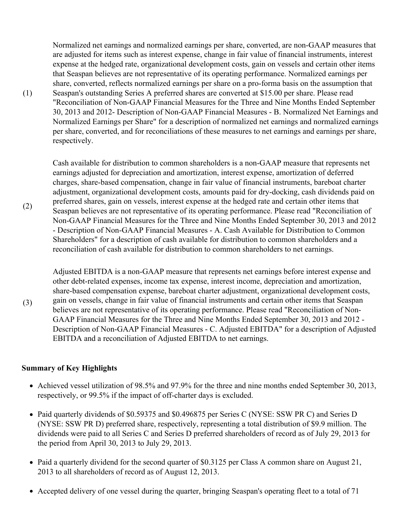Normalized net earnings and normalized earnings per share, converted, are non-GAAP measures that are adjusted for items such as interest expense, change in fair value of financial instruments, interest expense at the hedged rate, organizational development costs, gain on vessels and certain other items that Seaspan believes are not representative of its operating performance. Normalized earnings per share, converted, reflects normalized earnings per share on a pro-forma basis on the assumption that Seaspan's outstanding Series A preferred shares are converted at \$15.00 per share. Please read "Reconciliation of Non-GAAP Financial Measures for the Three and Nine Months Ended September 30, 2013 and 2012- Description of Non-GAAP Financial Measures - B. Normalized Net Earnings and Normalized Earnings per Share" for a description of normalized net earnings and normalized earnings per share, converted, and for reconciliations of these measures to net earnings and earnings per share, respectively.

Cash available for distribution to common shareholders is a non-GAAP measure that represents net earnings adjusted for depreciation and amortization, interest expense, amortization of deferred charges, share-based compensation, change in fair value of financial instruments, bareboat charter adjustment, organizational development costs, amounts paid for dry-docking, cash dividends paid on preferred shares, gain on vessels, interest expense at the hedged rate and certain other items that Seaspan believes are not representative of its operating performance. Please read "Reconciliation of Non-GAAP Financial Measures for the Three and Nine Months Ended September 30, 2013 and 2012 - Description of Non-GAAP Financial Measures - A. Cash Available for Distribution to Common Shareholders" for a description of cash available for distribution to common shareholders and a reconciliation of cash available for distribution to common shareholders to net earnings.

Adjusted EBITDA is a non-GAAP measure that represents net earnings before interest expense and other debt-related expenses, income tax expense, interest income, depreciation and amortization, share-based compensation expense, bareboat charter adjustment, organizational development costs, gain on vessels, change in fair value of financial instruments and certain other items that Seaspan believes are not representative of its operating performance. Please read "Reconciliation of Non-GAAP Financial Measures for the Three and Nine Months Ended September 30, 2013 and 2012 - Description of Non-GAAP Financial Measures - C. Adjusted EBITDA" for a description of Adjusted EBITDA and a reconciliation of Adjusted EBITDA to net earnings.

### **Summary of Key Highlights**

(1)

(2)

(3)

- Achieved vessel utilization of 98.5% and 97.9% for the three and nine months ended September 30, 2013, respectively, or 99.5% if the impact of off-charter days is excluded.
- Paid quarterly dividends of \$0.59375 and \$0.496875 per Series C (NYSE: SSW PR C) and Series D (NYSE: SSW PR D) preferred share, respectively, representing a total distribution of \$9.9 million. The dividends were paid to all Series C and Series D preferred shareholders of record as of July 29, 2013 for the period from April 30, 2013 to July 29, 2013.
- Paid a quarterly dividend for the second quarter of \$0.3125 per Class A common share on August 21, 2013 to all shareholders of record as of August 12, 2013.
- Accepted delivery of one vessel during the quarter, bringing Seaspan's operating fleet to a total of 71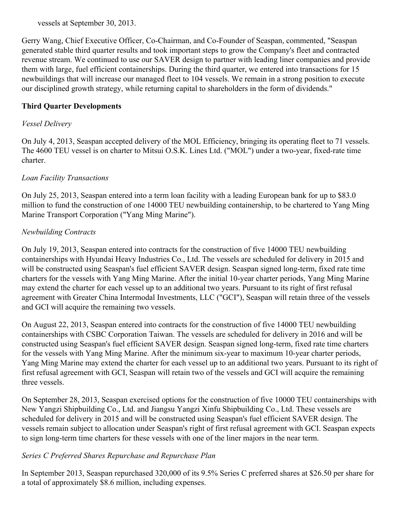vessels at September 30, 2013.

Gerry Wang, Chief Executive Officer, Co-Chairman, and Co-Founder of Seaspan, commented, "Seaspan generated stable third quarter results and took important steps to grow the Company's fleet and contracted revenue stream. We continued to use our SAVER design to partner with leading liner companies and provide them with large, fuel efficient containerships. During the third quarter, we entered into transactions for 15 newbuildings that will increase our managed fleet to 104 vessels. We remain in a strong position to execute our disciplined growth strategy, while returning capital to shareholders in the form of dividends."

## **Third Quarter Developments**

## *Vessel Delivery*

On July 4, 2013, Seaspan accepted delivery of the MOL Efficiency, bringing its operating fleet to 71 vessels. The 4600 TEU vessel is on charter to Mitsui O.S.K. Lines Ltd. ("MOL") under a two-year, fixed-rate time charter.

## *Loan Facility Transactions*

On July 25, 2013, Seaspan entered into a term loan facility with a leading European bank for up to \$83.0 million to fund the construction of one 14000 TEU newbuilding containership, to be chartered to Yang Ming Marine Transport Corporation ("Yang Ming Marine").

### *Newbuilding Contracts*

On July 19, 2013, Seaspan entered into contracts for the construction of five 14000 TEU newbuilding containerships with Hyundai Heavy Industries Co., Ltd. The vessels are scheduled for delivery in 2015 and will be constructed using Seaspan's fuel efficient SAVER design. Seaspan signed long-term, fixed rate time charters for the vessels with Yang Ming Marine. After the initial 10-year charter periods, Yang Ming Marine may extend the charter for each vessel up to an additional two years. Pursuant to its right of first refusal agreement with Greater China Intermodal Investments, LLC ("GCI"), Seaspan will retain three of the vessels and GCI will acquire the remaining two vessels.

On August 22, 2013, Seaspan entered into contracts for the construction of five 14000 TEU newbuilding containerships with CSBC Corporation Taiwan. The vessels are scheduled for delivery in 2016 and will be constructed using Seaspan's fuel efficient SAVER design. Seaspan signed long-term, fixed rate time charters for the vessels with Yang Ming Marine. After the minimum six-year to maximum 10-year charter periods, Yang Ming Marine may extend the charter for each vessel up to an additional two years. Pursuant to its right of first refusal agreement with GCI, Seaspan will retain two of the vessels and GCI will acquire the remaining three vessels.

On September 28, 2013, Seaspan exercised options for the construction of five 10000 TEU containerships with New Yangzi Shipbuilding Co., Ltd. and Jiangsu Yangzi Xinfu Shipbuilding Co., Ltd. These vessels are scheduled for delivery in 2015 and will be constructed using Seaspan's fuel efficient SAVER design. The vessels remain subject to allocation under Seaspan's right of first refusal agreement with GCI. Seaspan expects to sign long-term time charters for these vessels with one of the liner majors in the near term.

## *Series C Preferred Shares Repurchase and Repurchase Plan*

In September 2013, Seaspan repurchased 320,000 of its 9.5% Series C preferred shares at \$26.50 per share for a total of approximately \$8.6 million, including expenses.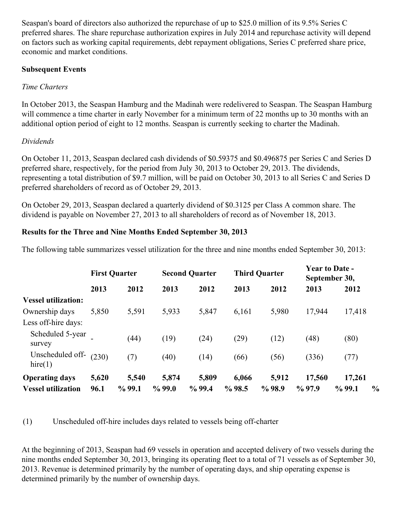Seaspan's board of directors also authorized the repurchase of up to \$25.0 million of its 9.5% Series C preferred shares. The share repurchase authorization expires in July 2014 and repurchase activity will depend on factors such as working capital requirements, debt repayment obligations, Series C preferred share price, economic and market conditions.

### **Subsequent Events**

## *Time Charters*

In October 2013, the Seaspan Hamburg and the Madinah were redelivered to Seaspan. The Seaspan Hamburg will commence a time charter in early November for a minimum term of 22 months up to 30 months with an additional option period of eight to 12 months. Seaspan is currently seeking to charter the Madinah.

## *Dividends*

On October 11, 2013, Seaspan declared cash dividends of \$0.59375 and \$0.496875 per Series C and Series D preferred share, respectively, for the period from July 30, 2013 to October 29, 2013. The dividends, representing a total distribution of \$9.7 million, will be paid on October 30, 2013 to all Series C and Series D preferred shareholders of record as of October 29, 2013.

On October 29, 2013, Seaspan declared a quarterly dividend of \$0.3125 per Class A common share. The dividend is payable on November 27, 2013 to all shareholders of record as of November 18, 2013.

## **Results for the Three and Nine Months Ended September 30, 2013**

The following table summarizes vessel utilization for the three and nine months ended September 30, 2013:

|                             | <b>First Quarter</b> |           |           | <b>Second Quarter</b> |       | <b>Third Quarter</b> |           | <b>Year to Date -</b><br>September 30, |               |
|-----------------------------|----------------------|-----------|-----------|-----------------------|-------|----------------------|-----------|----------------------------------------|---------------|
|                             | 2013                 | 2012      | 2013      | 2012                  | 2013  | 2012                 | 2013      | 2012                                   |               |
| <b>Vessel utilization:</b>  |                      |           |           |                       |       |                      |           |                                        |               |
| Ownership days              | 5,850                | 5,591     | 5,933     | 5,847                 | 6,161 | 5,980                | 17,944    | 17,418                                 |               |
| Less off-hire days:         |                      |           |           |                       |       |                      |           |                                        |               |
| Scheduled 5-year<br>survey  |                      | (44)      | (19)      | (24)                  | (29)  | (12)                 | (48)      | (80)                                   |               |
| Unscheduled off-<br>hire(1) | (230)                | (7)       | (40)      | (14)                  | (66)  | (56)                 | (336)     | (77)                                   |               |
| <b>Operating days</b>       | 5,620                | 5,540     | 5,874     | 5,809                 | 6,066 | 5,912                | 17,560    | 17,261                                 |               |
| <b>Vessel utilization</b>   | 96.1                 | $\%$ 99.1 | $\%$ 99.0 | %99.4                 | %98.5 | $\%$ 98.9            | $\%$ 97.9 | $\%$ 99.1                              | $\frac{0}{0}$ |

(1) Unscheduled off-hire includes days related to vessels being off-charter

At the beginning of 2013, Seaspan had 69 vessels in operation and accepted delivery of two vessels during the nine months ended September 30, 2013, bringing its operating fleet to a total of 71 vessels as of September 30, 2013. Revenue is determined primarily by the number of operating days, and ship operating expense is determined primarily by the number of ownership days.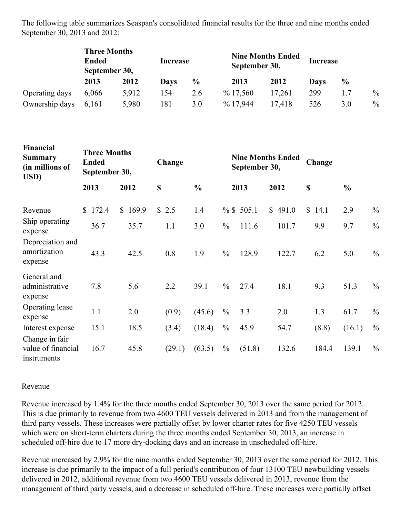The following table summarizes Seaspan's consolidated financial results for the three and nine months ended September 30, 2013 and 2012:

|                | <b>Three Months</b><br><b>Ended</b><br>September 30, |       | Increase |               | <b>Nine Months Ended</b><br>September 30, | Increase |      |      |               |
|----------------|------------------------------------------------------|-------|----------|---------------|-------------------------------------------|----------|------|------|---------------|
|                | 2013                                                 | 2012  | Days     | $\frac{0}{0}$ | 2013                                      | 2012     | Days | $\%$ |               |
| Operating days | 6.066                                                | 5,912 | 154      | 2.6           | $\%$ 17,560                               | 17,261   | 299  |      | $\%$          |
| Ownership days | 6,161                                                | 5,980 | 181      | 3.0           | $\%$ 17,944                               | 17.418   | 526  | 3.0  | $\frac{0}{0}$ |

| гипансіан<br><b>Summary</b><br>(in millions of<br>USD) | <b>Three Months</b><br><b>Ended</b><br>September 30, |         | Change |               |               | September 30, | <b>Nine Months Ended</b> | Change |               |               |
|--------------------------------------------------------|------------------------------------------------------|---------|--------|---------------|---------------|---------------|--------------------------|--------|---------------|---------------|
|                                                        | 2013                                                 | 2012    | \$     | $\frac{0}{0}$ |               | 2013          | 2012                     | \$     | $\frac{0}{0}$ |               |
| Revenue                                                | \$172.4                                              | \$169.9 | \$2.5  | 1.4           |               | % \$505.1     | \$491.0                  | \$14.1 | 2.9           | $\frac{0}{0}$ |
| Ship operating<br>expense                              | 36.7                                                 | 35.7    | 1.1    | 3.0           | $\frac{0}{0}$ | 111.6         | 101.7                    | 9.9    | 9.7           | $\frac{0}{0}$ |
| Depreciation and<br>amortization<br>expense            | 43.3                                                 | 42.5    | 0.8    | 1.9           | $\frac{0}{0}$ | 128.9         | 122.7                    | 6.2    | 5.0           | $\frac{0}{0}$ |
| General and<br>administrative<br>expense               | 7.8                                                  | 5.6     | 2.2    | 39.1          | $\frac{0}{0}$ | 27.4          | 18.1                     | 9.3    | 51.3          | $\frac{0}{0}$ |
| Operating lease<br>expense                             | 1.1                                                  | 2.0     | (0.9)  | (45.6)        | $\frac{0}{0}$ | 3.3           | 2.0                      | 1.3    | 61.7          | $\%$          |
| Interest expense                                       | 15.1                                                 | 18.5    | (3.4)  | (18.4)        | $\frac{0}{0}$ | 45.9          | 54.7                     | (8.8)  | (16.1)        | $\frac{0}{0}$ |
| Change in fair<br>value of financial<br>instruments    | 16.7                                                 | 45.8    | (29.1) | (63.5)        | $\frac{0}{0}$ | (51.8)        | 132.6                    | 184.4  | 139.1         | $\frac{0}{0}$ |

### Revenue

**Financial**

Revenue increased by 1.4% for the three months ended September 30, 2013 over the same period for 2012. This is due primarily to revenue from two 4600 TEU vessels delivered in 2013 and from the management of third party vessels. These increases were partially offset by lower charter rates for five 4250 TEU vessels which were on short-term charters during the three months ended September 30, 2013, an increase in scheduled off-hire due to 17 more dry-docking days and an increase in unscheduled off-hire.

Revenue increased by 2.9% for the nine months ended September 30, 2013 over the same period for 2012. This increase is due primarily to the impact of a full period's contribution of four 13100 TEU newbuilding vessels delivered in 2012, additional revenue from two 4600 TEU vessels delivered in 2013, revenue from the management of third party vessels, and a decrease in scheduled off-hire. These increases were partially offset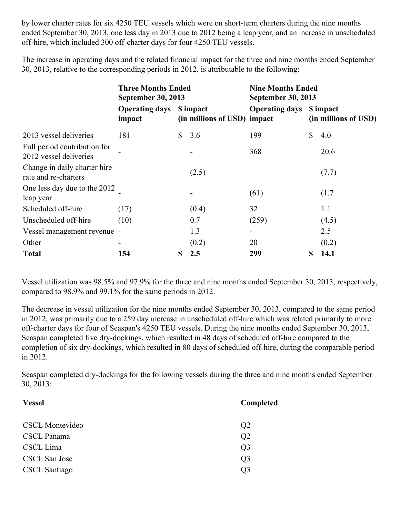by lower charter rates for six 4250 TEU vessels which were on short-term charters during the nine months ended September 30, 2013, one less day in 2013 due to 2012 being a leap year, and an increase in unscheduled off-hire, which included 300 off-charter days for four 4250 TEU vessels.

The increase in operating days and the related financial impact for the three and nine months ended September 30, 2013, relative to the corresponding periods in 2012, is attributable to the following:

|                                                        | <b>Three Months Ended</b><br><b>September 30, 2013</b> |    |                             | <b>Nine Months Ended</b><br><b>September 30, 2013</b> |    |                                   |  |
|--------------------------------------------------------|--------------------------------------------------------|----|-----------------------------|-------------------------------------------------------|----|-----------------------------------|--|
|                                                        | <b>Operating days</b> \$ impact<br>impact              |    | (in millions of USD) impact | <b>Operating days</b>                                 |    | \$ impact<br>(in millions of USD) |  |
| 2013 vessel deliveries                                 | 181                                                    | S. | 3.6                         | 199                                                   | \$ | 4.0                               |  |
| Full period contribution for<br>2012 vessel deliveries |                                                        |    |                             | 368                                                   |    | 20.6                              |  |
| Change in daily charter hire<br>rate and re-charters   |                                                        |    | (2.5)                       |                                                       |    | (7.7)                             |  |
| One less day due to the 2012<br>leap year              |                                                        |    |                             | (61)                                                  |    | (1.7)                             |  |
| Scheduled off-hire                                     | (17)                                                   |    | (0.4)                       | 32                                                    |    | 1.1                               |  |
| Unscheduled off-hire                                   | (10)                                                   |    | 0.7                         | (259)                                                 |    | (4.5)                             |  |
| Vessel management revenue -                            |                                                        |    | 1.3                         |                                                       |    | 2.5                               |  |
| Other                                                  | -                                                      |    | (0.2)                       | 20                                                    |    | (0.2)                             |  |
| <b>Total</b>                                           | 154                                                    | S  | 2.5                         | 299                                                   | \$ | 14.1                              |  |

Vessel utilization was 98.5% and 97.9% for the three and nine months ended September 30, 2013, respectively, compared to 98.9% and 99.1% for the same periods in 2012.

The decrease in vessel utilization for the nine months ended September 30, 2013, compared to the same period in 2012, was primarily due to a 259 day increase in unscheduled off-hire which was related primarily to more off-charter days for four of Seaspan's 4250 TEU vessels. During the nine months ended September 30, 2013, Seaspan completed five dry-dockings, which resulted in 48 days of scheduled off-hire compared to the completion of six dry-dockings, which resulted in 80 days of scheduled off-hire, during the comparable period in 2012.

Seaspan completed dry-dockings for the following vessels during the three and nine months ended September 30, 2013:

| <b>Vessel</b>          | Completed      |
|------------------------|----------------|
| <b>CSCL Montevideo</b> | Q2             |
| <b>CSCL</b> Panama     | Q <sub>2</sub> |
| CSCL Lima              | Q <sub>3</sub> |
| CSCL San Jose          | Q <sub>3</sub> |
| <b>CSCL</b> Santiago   | O3             |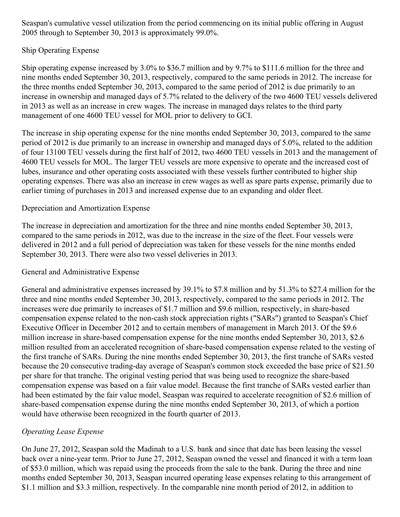Seaspan's cumulative vessel utilization from the period commencing on its initial public offering in August 2005 through to September 30, 2013 is approximately 99.0%.

### Ship Operating Expense

Ship operating expense increased by 3.0% to \$36.7 million and by 9.7% to \$111.6 million for the three and nine months ended September 30, 2013, respectively, compared to the same periods in 2012. The increase for the three months ended September 30, 2013, compared to the same period of 2012 is due primarily to an increase in ownership and managed days of 5.7% related to the delivery of the two 4600 TEU vessels delivered in 2013 as well as an increase in crew wages. The increase in managed days relates to the third party management of one 4600 TEU vessel for MOL prior to delivery to GCI.

The increase in ship operating expense for the nine months ended September 30, 2013, compared to the same period of 2012 is due primarily to an increase in ownership and managed days of 5.0%, related to the addition of four 13100 TEU vessels during the first half of 2012, two 4600 TEU vessels in 2013 and the management of 4600 TEU vessels for MOL. The larger TEU vessels are more expensive to operate and the increased cost of lubes, insurance and other operating costs associated with these vessels further contributed to higher ship operating expenses. There was also an increase in crew wages as well as spare parts expense, primarily due to earlier timing of purchases in 2013 and increased expense due to an expanding and older fleet.

### Depreciation and Amortization Expense

The increase in depreciation and amortization for the three and nine months ended September 30, 2013, compared to the same periods in 2012, was due to the increase in the size of the fleet. Four vessels were delivered in 2012 and a full period of depreciation was taken for these vessels for the nine months ended September 30, 2013. There were also two vessel deliveries in 2013.

### General and Administrative Expense

General and administrative expenses increased by 39.1% to \$7.8 million and by 51.3% to \$27.4 million for the three and nine months ended September 30, 2013, respectively, compared to the same periods in 2012. The increases were due primarily to increases of \$1.7 million and \$9.6 million, respectively, in share-based compensation expense related to the non-cash stock appreciation rights ("SARs") granted to Seaspan's Chief Executive Officer in December 2012 and to certain members of management in March 2013. Of the \$9.6 million increase in share-based compensation expense for the nine months ended September 30, 2013, \$2.6 million resulted from an accelerated recognition of share-based compensation expense related to the vesting of the first tranche of SARs. During the nine months ended September 30, 2013, the first tranche of SARs vested because the 20 consecutive trading-day average of Seaspan's common stock exceeded the base price of \$21.50 per share for that tranche. The original vesting period that was being used to recognize the share-based compensation expense was based on a fair value model. Because the first tranche of SARs vested earlier than had been estimated by the fair value model, Seaspan was required to accelerate recognition of \$2.6 million of share-based compensation expense during the nine months ended September 30, 2013, of which a portion would have otherwise been recognized in the fourth quarter of 2013.

## *Operating Lease Expense*

On June 27, 2012, Seaspan sold the Madinah to a U.S. bank and since that date has been leasing the vessel back over a nine-year term. Prior to June 27, 2012, Seaspan owned the vessel and financed it with a term loan of \$53.0 million, which was repaid using the proceeds from the sale to the bank. During the three and nine months ended September 30, 2013, Seaspan incurred operating lease expenses relating to this arrangement of \$1.1 million and \$3.3 million, respectively. In the comparable nine month period of 2012, in addition to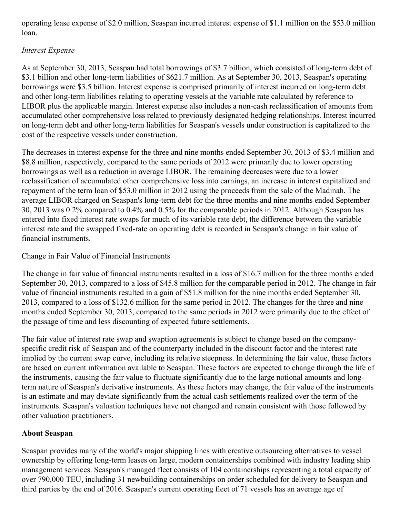operating lease expense of \$2.0 million, Seaspan incurred interest expense of \$1.1 million on the \$53.0 million loan.

## *Interest Expense*

As at September 30, 2013, Seaspan had total borrowings of \$3.7 billion, which consisted of long-term debt of \$3.1 billion and other long-term liabilities of \$621.7 million. As at September 30, 2013, Seaspan's operating borrowings were \$3.5 billion. Interest expense is comprised primarily of interest incurred on long-term debt and other long-term liabilities relating to operating vessels at the variable rate calculated by reference to LIBOR plus the applicable margin. Interest expense also includes a non-cash reclassification of amounts from accumulated other comprehensive loss related to previously designated hedging relationships. Interest incurred on long-term debt and other long-term liabilities for Seaspan's vessels under construction is capitalized to the cost of the respective vessels under construction.

The decreases in interest expense for the three and nine months ended September 30, 2013 of \$3.4 million and \$8.8 million, respectively, compared to the same periods of 2012 were primarily due to lower operating borrowings as well as a reduction in average LIBOR. The remaining decreases were due to a lower reclassification of accumulated other comprehensive loss into earnings, an increase in interest capitalized and repayment of the term loan of \$53.0 million in 2012 using the proceeds from the sale of the Madinah. The average LIBOR charged on Seaspan's long-term debt for the three months and nine months ended September 30, 2013 was 0.2% compared to 0.4% and 0.5% for the comparable periods in 2012. Although Seaspan has entered into fixed interest rate swaps for much of its variable rate debt, the difference between the variable interest rate and the swapped fixed-rate on operating debt is recorded in Seaspan's change in fair value of financial instruments.

Change in Fair Value of Financial Instruments

The change in fair value of financial instruments resulted in a loss of \$16.7 million for the three months ended September 30, 2013, compared to a loss of \$45.8 million for the comparable period in 2012. The change in fair value of financial instruments resulted in a gain of \$51.8 million for the nine months ended September 30, 2013, compared to a loss of \$132.6 million for the same period in 2012. The changes for the three and nine months ended September 30, 2013, compared to the same periods in 2012 were primarily due to the effect of the passage of time and less discounting of expected future settlements.

The fair value of interest rate swap and swaption agreements is subject to change based on the companyspecific credit risk of Seaspan and of the counterparty included in the discount factor and the interest rate implied by the current swap curve, including its relative steepness. In determining the fair value, these factors are based on current information available to Seaspan. These factors are expected to change through the life of the instruments, causing the fair value to fluctuate significantly due to the large notional amounts and longterm nature of Seaspan's derivative instruments. As these factors may change, the fair value of the instruments is an estimate and may deviate significantly from the actual cash settlements realized over the term of the instruments. Seaspan's valuation techniques have not changed and remain consistent with those followed by other valuation practitioners.

## **About Seaspan**

Seaspan provides many of the world's major shipping lines with creative outsourcing alternatives to vessel ownership by offering long-term leases on large, modern containerships combined with industry leading ship management services. Seaspan's managed fleet consists of 104 containerships representing a total capacity of over 790,000 TEU, including 31 newbuilding containerships on order scheduled for delivery to Seaspan and third parties by the end of 2016. Seaspan's current operating fleet of 71 vessels has an average age of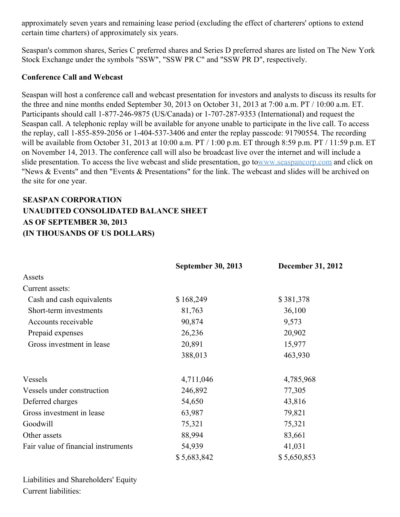approximately seven years and remaining lease period (excluding the effect of charterers' options to extend certain time charters) of approximately six years.

Seaspan's common shares, Series C preferred shares and Series D preferred shares are listed on The New York Stock Exchange under the symbols "SSW", "SSW PR C" and "SSW PR D", respectively.

### **Conference Call and Webcast**

Seaspan will host a conference call and webcast presentation for investors and analysts to discuss its results for the three and nine months ended September 30, 2013 on October 31, 2013 at 7:00 a.m. PT / 10:00 a.m. ET. Participants should call 1-877-246-9875 (US/Canada) or 1-707-287-9353 (International) and request the Seaspan call. A telephonic replay will be available for anyone unable to participate in the live call. To access the replay, call 1-855-859-2056 or 1-404-537-3406 and enter the replay passcode: 91790554. The recording will be available from October 31, 2013 at 10:00 a.m. PT / 1:00 p.m. ET through 8:59 p.m. PT / 11:59 p.m. ET on November 14, 2013. The conference call will also be broadcast live over the internet and will include a slide presentation. To access the live webcast and slide presentation, go t[owww.seaspancorp.com](http://www.seaspancorp.com/) and click on "News & Events" and then "Events & Presentations" for the link. The webcast and slides will be archived on the site for one year.

# **SEASPAN CORPORATION UNAUDITED CONSOLIDATED BALANCE SHEET AS OF SEPTEMBER 30, 2013 (IN THOUSANDS OF US DOLLARS)**

|                                     | <b>September 30, 2013</b> | December 31, 2012 |
|-------------------------------------|---------------------------|-------------------|
| Assets                              |                           |                   |
| Current assets:                     |                           |                   |
| Cash and cash equivalents           | \$168,249                 | \$381,378         |
| Short-term investments              | 81,763                    | 36,100            |
| Accounts receivable                 | 90,874                    | 9,573             |
| Prepaid expenses                    | 26,236                    | 20,902            |
| Gross investment in lease           | 20,891                    | 15,977            |
|                                     | 388,013                   | 463,930           |
| <b>Vessels</b>                      | 4,711,046                 | 4,785,968         |
| Vessels under construction          | 246,892                   | 77,305            |
| Deferred charges                    | 54,650                    | 43,816            |
| Gross investment in lease           | 63,987                    | 79,821            |
| Goodwill                            | 75,321                    | 75,321            |
| Other assets                        | 88,994                    | 83,661            |
| Fair value of financial instruments | 54,939                    | 41,031            |
|                                     | \$5,683,842               | \$5,650,853       |

Liabilities and Shareholders' Equity Current liabilities: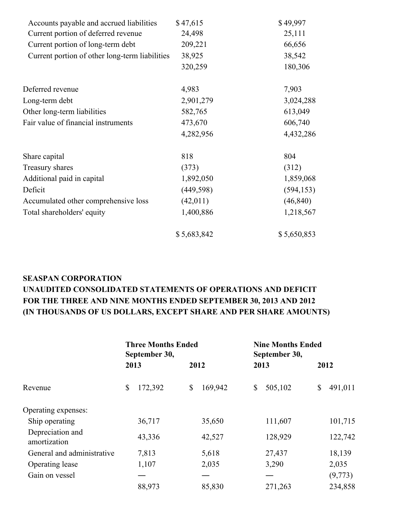| Accounts payable and accrued liabilities       | \$47,615    | \$49,997    |
|------------------------------------------------|-------------|-------------|
| Current portion of deferred revenue            | 24,498      | 25,111      |
| Current portion of long-term debt              | 209,221     | 66,656      |
| Current portion of other long-term liabilities | 38,925      | 38,542      |
|                                                | 320,259     | 180,306     |
| Deferred revenue                               | 4,983       | 7,903       |
| Long-term debt                                 | 2,901,279   | 3,024,288   |
| Other long-term liabilities                    | 582,765     | 613,049     |
| Fair value of financial instruments            | 473,670     | 606,740     |
|                                                | 4,282,956   | 4,432,286   |
| Share capital                                  | 818         | 804         |
| Treasury shares                                | (373)       | (312)       |
| Additional paid in capital                     | 1,892,050   | 1,859,068   |
| Deficit                                        | (449, 598)  | (594, 153)  |
| Accumulated other comprehensive loss           | (42,011)    | (46, 840)   |
| Total shareholders' equity                     | 1,400,886   | 1,218,567   |
|                                                | \$5,683,842 | \$5,650,853 |

# **SEASPAN CORPORATION UNAUDITED CONSOLIDATED STATEMENTS OF OPERATIONS AND DEFICIT FOR THE THREE AND NINE MONTHS ENDED SEPTEMBER 30, 2013 AND 2012 (IN THOUSANDS OF US DOLLARS, EXCEPT SHARE AND PER SHARE AMOUNTS)**

|                                  | <b>Three Months Ended</b><br>September 30, |         |    | <b>Nine Months Ended</b><br>September 30, |    |         |      |         |
|----------------------------------|--------------------------------------------|---------|----|-------------------------------------------|----|---------|------|---------|
|                                  |                                            | 2013    |    | 2012                                      |    | 2013    | 2012 |         |
| Revenue                          | \$                                         | 172,392 | \$ | 169,942                                   | \$ | 505,102 | \$   | 491,011 |
| Operating expenses:              |                                            |         |    |                                           |    |         |      |         |
| Ship operating                   |                                            | 36,717  |    | 35,650                                    |    | 111,607 |      | 101,715 |
| Depreciation and<br>amortization |                                            | 43,336  |    | 42,527                                    |    | 128,929 |      | 122,742 |
| General and administrative       |                                            | 7,813   |    | 5,618                                     |    | 27,437  |      | 18,139  |
| Operating lease                  |                                            | 1,107   |    | 2,035                                     |    | 3,290   |      | 2,035   |
| Gain on vessel                   |                                            |         |    |                                           |    |         |      | (9,773) |
|                                  |                                            | 88,973  |    | 85,830                                    |    | 271,263 |      | 234,858 |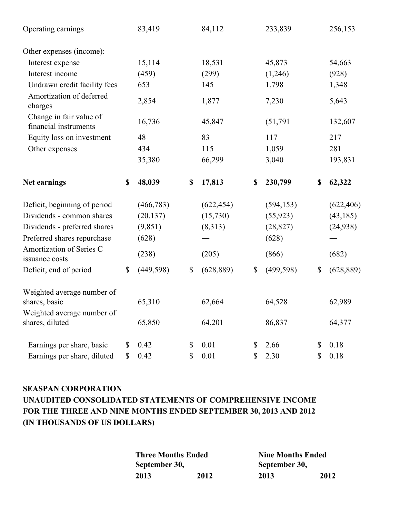| Operating earnings                               |              | 83,419     |              | 84,112     | 233,839          |              | 256,153    |
|--------------------------------------------------|--------------|------------|--------------|------------|------------------|--------------|------------|
| Other expenses (income):                         |              |            |              |            |                  |              |            |
| Interest expense                                 |              | 15,114     |              | 18,531     | 45,873           |              | 54,663     |
| Interest income                                  |              | (459)      |              | (299)      | (1,246)          |              | (928)      |
| Undrawn credit facility fees                     |              | 653        |              | 145        | 1,798            |              | 1,348      |
| Amortization of deferred<br>charges              |              | 2,854      |              | 1,877      | 7,230            |              | 5,643      |
| Change in fair value of<br>financial instruments |              | 16,736     |              | 45,847     | (51, 791)        |              | 132,607    |
| Equity loss on investment                        |              | 48         |              | 83         | 117              |              | 217        |
| Other expenses                                   |              | 434        |              | 115        | 1,059            |              | 281        |
|                                                  |              | 35,380     |              | 66,299     | 3,040            |              | 193,831    |
| Net earnings                                     | \$           | 48,039     | \$           | 17,813     | \$<br>230,799    | \$           | 62,322     |
| Deficit, beginning of period                     |              | (466, 783) |              | (622, 454) | (594, 153)       |              | (622, 406) |
| Dividends - common shares                        |              | (20, 137)  |              | (15,730)   | (55, 923)        |              | (43, 185)  |
| Dividends - preferred shares                     |              | (9, 851)   |              | (8,313)    | (28, 827)        |              | (24, 938)  |
| Preferred shares repurchase                      |              | (628)      |              |            | (628)            |              |            |
| Amortization of Series C<br>issuance costs       |              | (238)      |              | (205)      | (866)            |              | (682)      |
| Deficit, end of period                           | $\mathbb{S}$ | (449, 598) | $\mathbb{S}$ | (628, 889) | \$<br>(499, 598) | $\mathbb{S}$ | (628, 889) |
| Weighted average number of<br>shares, basic      |              | 65,310     |              | 62,664     | 64,528           |              | 62,989     |
| Weighted average number of<br>shares, diluted    |              | 65,850     |              | 64,201     | 86,837           |              | 64,377     |
| Earnings per share, basic                        | \$           | 0.42       | \$           | 0.01       | \$<br>2.66       | \$           | 0.18       |
| Earnings per share, diluted                      | \$           | 0.42       | \$           | 0.01       | \$<br>2.30       | \$           | 0.18       |

# **SEASPAN CORPORATION UNAUDITED CONSOLIDATED STATEMENTS OF COMPREHENSIVE INCOME FOR THE THREE AND NINE MONTHS ENDED SEPTEMBER 30, 2013 AND 2012 (IN THOUSANDS OF US DOLLARS)**

| <b>Three Months Ended</b> |      | <b>Nine Months Ended</b> |      |  |  |  |
|---------------------------|------|--------------------------|------|--|--|--|
| September 30,             |      | September 30,            |      |  |  |  |
| 2013                      | 2012 | 2013                     | 2012 |  |  |  |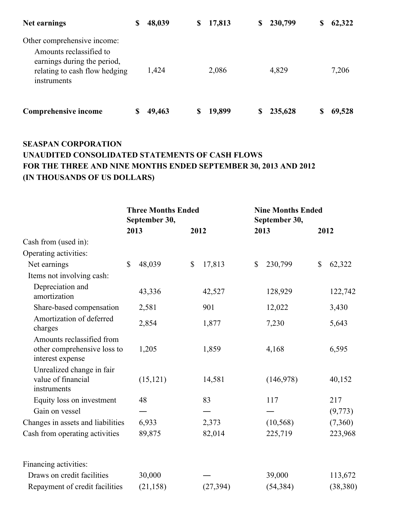| Net earnings                                                                                                                          | \$<br>48,039 | \$<br>17,813 | \$ | 230,799 | S | 62,322 |
|---------------------------------------------------------------------------------------------------------------------------------------|--------------|--------------|----|---------|---|--------|
| Other comprehensive income:<br>Amounts reclassified to<br>earnings during the period,<br>relating to cash flow hedging<br>instruments | 1,424        | 2,086        |    | 4,829   |   | 7,206  |
| <b>Comprehensive income</b>                                                                                                           | 49,463       | 19,899       | S  | 235,628 |   | 69,528 |

# **SEASPAN CORPORATION UNAUDITED CONSOLIDATED STATEMENTS OF CASH FLOWS FOR THE THREE AND NINE MONTHS ENDED SEPTEMBER 30, 2013 AND 2012 (IN THOUSANDS OF US DOLLARS)**

|                                                                              | <b>Three Months Ended</b><br>September 30, |           |              |           | <b>Nine Months Ended</b><br>September 30, |           |      |           |
|------------------------------------------------------------------------------|--------------------------------------------|-----------|--------------|-----------|-------------------------------------------|-----------|------|-----------|
|                                                                              |                                            | 2013      | 2012         |           |                                           | 2013      | 2012 |           |
| Cash from (used in):                                                         |                                            |           |              |           |                                           |           |      |           |
| Operating activities:                                                        |                                            |           |              |           |                                           |           |      |           |
| Net earnings                                                                 | $\mathbb{S}$                               | 48,039    | $\mathbb{S}$ | 17,813    | \$                                        | 230,799   | \$   | 62,322    |
| Items not involving cash:                                                    |                                            |           |              |           |                                           |           |      |           |
| Depreciation and<br>amortization                                             |                                            | 43,336    |              | 42,527    |                                           | 128,929   |      | 122,742   |
| Share-based compensation                                                     |                                            | 2,581     |              | 901       |                                           | 12,022    |      | 3,430     |
| Amortization of deferred<br>charges                                          |                                            | 2,854     |              | 1,877     |                                           | 7,230     |      | 5,643     |
| Amounts reclassified from<br>other comprehensive loss to<br>interest expense |                                            | 1,205     |              | 1,859     |                                           | 4,168     |      | 6,595     |
| Unrealized change in fair<br>value of financial<br>instruments               |                                            | (15, 121) |              | 14,581    |                                           | (146,978) |      | 40,152    |
| Equity loss on investment                                                    |                                            | 48        |              | 83        |                                           | 117       |      | 217       |
| Gain on vessel                                                               |                                            |           |              |           |                                           |           |      | (9,773)   |
| Changes in assets and liabilities                                            |                                            | 6,933     |              | 2,373     |                                           | (10, 568) |      | (7,360)   |
| Cash from operating activities                                               |                                            | 89,875    |              | 82,014    |                                           | 225,719   |      | 223,968   |
| Financing activities:                                                        |                                            |           |              |           |                                           |           |      |           |
| Draws on credit facilities                                                   |                                            | 30,000    |              |           |                                           | 39,000    |      | 113,672   |
| Repayment of credit facilities                                               |                                            | (21, 158) |              | (27, 394) |                                           | (54, 384) |      | (38, 380) |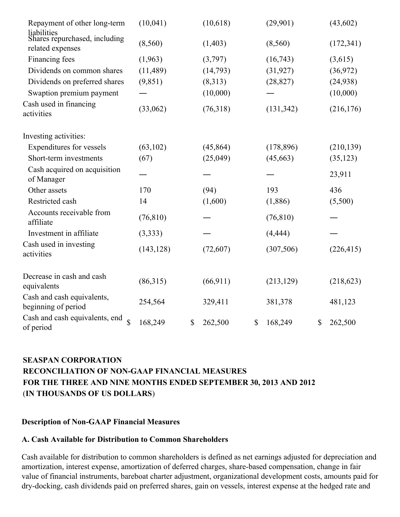| Repayment of other long-term<br>liabilities                       | (10,041)   | (10,618)      | (29,901)      | (43,602)      |
|-------------------------------------------------------------------|------------|---------------|---------------|---------------|
| Shares repurchased, including<br>related expenses                 | (8,560)    | (1,403)       | (8,560)       | (172, 341)    |
| Financing fees                                                    | (1,963)    | (3,797)       | (16,743)      | (3,615)       |
| Dividends on common shares                                        | (11, 489)  | (14,793)      | (31, 927)     | (36,972)      |
| Dividends on preferred shares                                     | (9,851)    | (8,313)       | (28, 827)     | (24, 938)     |
| Swaption premium payment                                          |            | (10,000)      |               | (10,000)      |
| Cash used in financing<br>activities                              | (33,062)   | (76,318)      | (131, 342)    | (216, 176)    |
| Investing activities:                                             |            |               |               |               |
| Expenditures for vessels                                          | (63, 102)  | (45, 864)     | (178, 896)    | (210, 139)    |
| Short-term investments                                            | (67)       | (25,049)      | (45, 663)     | (35, 123)     |
| Cash acquired on acquisition<br>of Manager                        |            |               |               | 23,911        |
| Other assets                                                      | 170        | (94)          | 193           | 436           |
| Restricted cash                                                   | 14         | (1,600)       | (1,886)       | (5,500)       |
| Accounts receivable from<br>affiliate                             | (76, 810)  |               | (76, 810)     |               |
| Investment in affiliate                                           | (3,333)    |               | (4, 444)      |               |
| Cash used in investing<br>activities                              | (143, 128) | (72,607)      | (307, 506)    | (226, 415)    |
| Decrease in cash and cash<br>equivalents                          | (86,315)   | (66, 911)     | (213, 129)    | (218, 623)    |
| Cash and cash equivalents,<br>beginning of period                 | 254,564    | 329,411       | 381,378       | 481,123       |
| Cash and cash equivalents, end<br>$\hat{\mathbf{S}}$<br>of period | 168,249    | \$<br>262,500 | \$<br>168,249 | \$<br>262,500 |

# **SEASPAN CORPORATION RECONCILIATION OF NON-GAAP FINANCIAL MEASURES FOR THE THREE AND NINE MONTHS ENDED SEPTEMBER 30, 2013 AND 2012** (**IN THOUSANDS OF US DOLLARS**)

### **Description of Non-GAAP Financial Measures**

### **A. Cash Available for Distribution to Common Shareholders**

Cash available for distribution to common shareholders is defined as net earnings adjusted for depreciation and amortization, interest expense, amortization of deferred charges, share-based compensation, change in fair value of financial instruments, bareboat charter adjustment, organizational development costs, amounts paid for dry-docking, cash dividends paid on preferred shares, gain on vessels, interest expense at the hedged rate and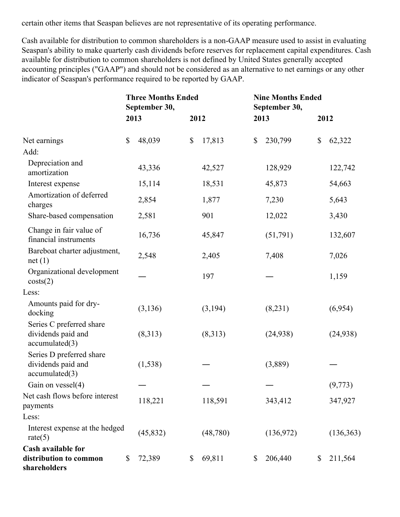certain other items that Seaspan believes are not representative of its operating performance.

Cash available for distribution to common shareholders is a non-GAAP measure used to assist in evaluating Seaspan's ability to make quarterly cash dividends before reserves for replacement capital expenditures. Cash available for distribution to common shareholders is not defined by United States generally accepted accounting principles ("GAAP") and should not be considered as an alternative to net earnings or any other indicator of Seaspan's performance required to be reported by GAAP.

|                                                                  |                           | <b>Three Months Ended</b><br>September 30, |      |          | <b>Nine Months Ended</b><br>September 30, |           |      |            |
|------------------------------------------------------------------|---------------------------|--------------------------------------------|------|----------|-------------------------------------------|-----------|------|------------|
|                                                                  | 2013                      |                                            | 2012 |          | 2013                                      |           | 2012 |            |
| Net earnings                                                     | $\boldsymbol{\mathsf{S}}$ | 48,039                                     | \$   | 17,813   | \$                                        | 230,799   | \$   | 62,322     |
| Add:                                                             |                           |                                            |      |          |                                           |           |      |            |
| Depreciation and<br>amortization                                 |                           | 43,336                                     |      | 42,527   |                                           | 128,929   |      | 122,742    |
| Interest expense                                                 |                           | 15,114                                     |      | 18,531   |                                           | 45,873    |      | 54,663     |
| Amortization of deferred<br>charges                              |                           | 2,854                                      |      | 1,877    |                                           | 7,230     |      | 5,643      |
| Share-based compensation                                         |                           | 2,581                                      |      | 901      |                                           | 12,022    |      | 3,430      |
| Change in fair value of<br>financial instruments                 |                           | 16,736                                     |      | 45,847   |                                           | (51,791)  |      | 132,607    |
| Bareboat charter adjustment,<br>net(1)                           |                           | 2,548                                      |      | 2,405    |                                           | 7,408     |      | 7,026      |
| Organizational development<br>costs(2)                           |                           |                                            |      | 197      |                                           |           |      | 1,159      |
| Less:                                                            |                           |                                            |      |          |                                           |           |      |            |
| Amounts paid for dry-<br>docking                                 |                           | (3, 136)                                   |      | (3,194)  |                                           | (8,231)   |      | (6,954)    |
| Series C preferred share<br>dividends paid and<br>accumulated(3) |                           | (8,313)                                    |      | (8,313)  |                                           | (24, 938) |      | (24, 938)  |
| Series D preferred share<br>dividends paid and<br>accumulated(3) |                           | (1, 538)                                   |      |          |                                           | (3,889)   |      |            |
| Gain on vessel(4)                                                |                           |                                            |      |          |                                           |           |      | (9, 773)   |
| Net cash flows before interest<br>payments                       |                           | 118,221                                    |      | 118,591  |                                           | 343,412   |      | 347,927    |
| Less:                                                            |                           |                                            |      |          |                                           |           |      |            |
| Interest expense at the hedged<br>rate $(5)$                     |                           | (45, 832)                                  |      | (48,780) |                                           | (136,972) |      | (136, 363) |
| Cash available for<br>distribution to common<br>shareholders     | \$                        | 72,389                                     | \$   | 69,811   | \$                                        | 206,440   | \$   | 211,564    |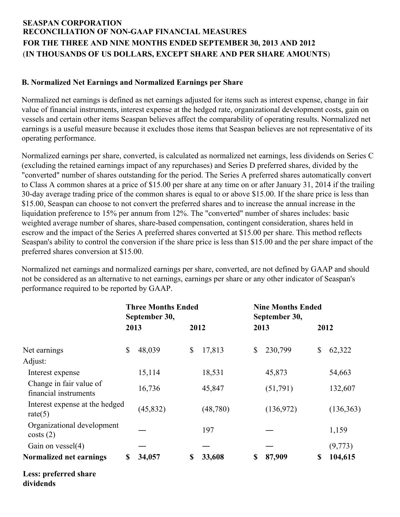# **SEASPAN CORPORATION RECONCILIATION OF NON-GAAP FINANCIAL MEASURES FOR THE THREE AND NINE MONTHS ENDED SEPTEMBER 30, 2013 AND 2012** (**IN THOUSANDS OF US DOLLARS, EXCEPT SHARE AND PER SHARE AMOUNTS**)

### **B. Normalized Net Earnings and Normalized Earnings per Share**

Normalized net earnings is defined as net earnings adjusted for items such as interest expense, change in fair value of financial instruments, interest expense at the hedged rate, organizational development costs, gain on vessels and certain other items Seaspan believes affect the comparability of operating results. Normalized net earnings is a useful measure because it excludes those items that Seaspan believes are not representative of its operating performance.

Normalized earnings per share, converted, is calculated as normalized net earnings, less dividends on Series C (excluding the retained earnings impact of any repurchases) and Series D preferred shares, divided by the "converted" number of shares outstanding for the period. The Series A preferred shares automatically convert to Class A common shares at a price of \$15.00 per share at any time on or after January 31, 2014 if the trailing 30-day average trading price of the common shares is equal to or above \$15.00. If the share price is less than \$15.00, Seaspan can choose to not convert the preferred shares and to increase the annual increase in the liquidation preference to 15% per annum from 12%. The "converted" number of shares includes: basic weighted average number of shares, share-based compensation, contingent consideration, shares held in escrow and the impact of the Series A preferred shares converted at \$15.00 per share. This method reflects Seaspan's ability to control the conversion if the share price is less than \$15.00 and the per share impact of the preferred shares conversion at \$15.00.

Normalized net earnings and normalized earnings per share, converted, are not defined by GAAP and should not be considered as an alternative to net earnings, earnings per share or any other indicator of Seaspan's performance required to be reported by GAAP.

|                                                  |      | <b>Three Months Ended</b><br>September 30, |      |          | <b>Nine Months Ended</b><br>September 30, |           |      |           |  |
|--------------------------------------------------|------|--------------------------------------------|------|----------|-------------------------------------------|-----------|------|-----------|--|
|                                                  | 2013 |                                            | 2012 |          | 2013                                      |           | 2012 |           |  |
| Net earnings                                     | \$   | 48,039                                     | \$   | 17,813   | \$                                        | 230,799   | \$   | 62,322    |  |
| Adjust:                                          |      |                                            |      |          |                                           |           |      |           |  |
| Interest expense                                 |      | 15,114                                     |      | 18,531   |                                           | 45,873    |      | 54,663    |  |
| Change in fair value of<br>financial instruments |      | 16,736                                     |      | 45,847   |                                           | (51,791)  |      | 132,607   |  |
| Interest expense at the hedged<br>rate $(5)$     |      | (45, 832)                                  |      | (48,780) |                                           | (136,972) |      | (136,363) |  |
| Organizational development<br>costs(2)           |      |                                            |      | 197      |                                           |           |      | 1,159     |  |
| Gain on $vessel(4)$                              |      |                                            |      |          |                                           |           |      | (9,773)   |  |
| Normalized net earnings                          | \$   | 34,057                                     | \$   | 33,608   | \$                                        | 87,909    | \$   | 104,615   |  |
| Less: preferred share                            |      |                                            |      |          |                                           |           |      |           |  |

**dividends**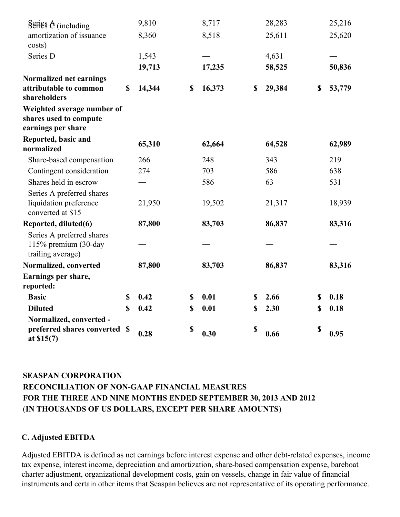| Series $\theta$ (including                                                 | 9,810        | 8,717        | 28,283       | 25,216       |
|----------------------------------------------------------------------------|--------------|--------------|--------------|--------------|
| amortization of issuance<br>costs)                                         | 8,360        | 8,518        | 25,611       | 25,620       |
| Series D                                                                   | 1,543        |              | 4,631        |              |
|                                                                            | 19,713       | 17,235       | 58,525       | 50,836       |
| Normalized net earnings<br>attributable to common<br>shareholders          | \$<br>14,344 | \$<br>16,373 | \$<br>29,384 | \$<br>53,779 |
| Weighted average number of<br>shares used to compute<br>earnings per share |              |              |              |              |
| Reported, basic and<br>normalized                                          | 65,310       | 62,664       | 64,528       | 62,989       |
| Share-based compensation                                                   | 266          | 248          | 343          | 219          |
| Contingent consideration                                                   | 274          | 703          | 586          | 638          |
| Shares held in escrow                                                      |              | 586          | 63           | 531          |
| Series A preferred shares<br>liquidation preference<br>converted at \$15   | 21,950       | 19,502       | 21,317       | 18,939       |
| Reported, diluted(6)                                                       | 87,800       | 83,703       | 86,837       | 83,316       |
| Series A preferred shares<br>115% premium (30-day<br>trailing average)     |              |              |              |              |
| Normalized, converted                                                      | 87,800       | 83,703       | 86,837       | 83,316       |
| Earnings per share,<br>reported:                                           |              |              |              |              |
| <b>Basic</b>                                                               | \$<br>0.42   | \$<br>0.01   | \$<br>2.66   | \$<br>0.18   |
| <b>Diluted</b>                                                             | \$<br>0.42   | \$<br>0.01   | \$<br>2.30   | \$<br>0.18   |
| Normalized, converted -<br>preferred shares converted<br>at $$15(7)$       | \$<br>0.28   | \$<br>0.30   | \$<br>0.66   | \$<br>0.95   |

# **SEASPAN CORPORATION RECONCILIATION OF NON-GAAP FINANCIAL MEASURES FOR THE THREE AND NINE MONTHS ENDED SEPTEMBER 30, 2013 AND 2012** (**IN THOUSANDS OF US DOLLARS, EXCEPT PER SHARE AMOUNTS**)

### **C. Adjusted EBITDA**

Adjusted EBITDA is defined as net earnings before interest expense and other debt-related expenses, income tax expense, interest income, depreciation and amortization, share-based compensation expense, bareboat charter adjustment, organizational development costs, gain on vessels, change in fair value of financial instruments and certain other items that Seaspan believes are not representative of its operating performance.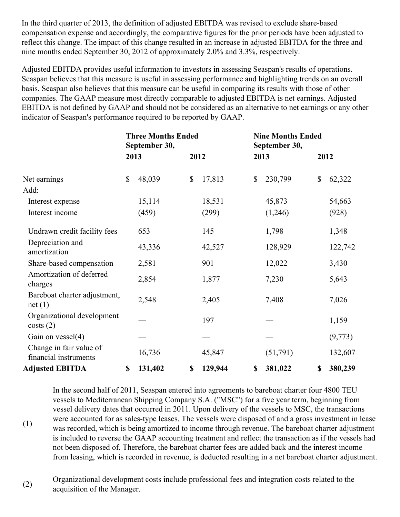In the third quarter of 2013, the definition of adjusted EBITDA was revised to exclude share-based compensation expense and accordingly, the comparative figures for the prior periods have been adjusted to reflect this change. The impact of this change resulted in an increase in adjusted EBITDA for the three and nine months ended September 30, 2012 of approximately 2.0% and 3.3%, respectively.

Adjusted EBITDA provides useful information to investors in assessing Seaspan's results of operations. Seaspan believes that this measure is useful in assessing performance and highlighting trends on an overall basis. Seaspan also believes that this measure can be useful in comparing its results with those of other companies. The GAAP measure most directly comparable to adjusted EBITDA is net earnings. Adjusted EBITDA is not defined by GAAP and should not be considered as an alternative to net earnings or any other indicator of Seaspan's performance required to be reported by GAAP.

|                                                  | <b>Three Months Ended</b><br>September 30, |    |         | <b>Nine Months Ended</b><br>September 30, |          |    |         |
|--------------------------------------------------|--------------------------------------------|----|---------|-------------------------------------------|----------|----|---------|
|                                                  | 2013                                       |    | 2012    |                                           | 2013     |    | 2012    |
| Net earnings                                     | \$<br>48,039                               | \$ | 17,813  | \$                                        | 230,799  | \$ | 62,322  |
| Add:                                             |                                            |    |         |                                           |          |    |         |
| Interest expense                                 | 15,114                                     |    | 18,531  |                                           | 45,873   |    | 54,663  |
| Interest income                                  | (459)                                      |    | (299)   |                                           | (1,246)  |    | (928)   |
| Undrawn credit facility fees                     | 653                                        |    | 145     |                                           | 1,798    |    | 1,348   |
| Depreciation and<br>amortization                 | 43,336                                     |    | 42,527  |                                           | 128,929  |    | 122,742 |
| Share-based compensation                         | 2,581                                      |    | 901     |                                           | 12,022   |    | 3,430   |
| Amortization of deferred<br>charges              | 2,854                                      |    | 1,877   |                                           | 7,230    |    | 5,643   |
| Bareboat charter adjustment,<br>net(1)           | 2,548                                      |    | 2,405   |                                           | 7,408    |    | 7,026   |
| Organizational development<br>costs(2)           |                                            |    | 197     |                                           |          |    | 1,159   |
| Gain on vessel(4)                                |                                            |    |         |                                           |          |    | (9,773) |
| Change in fair value of<br>financial instruments | 16,736                                     |    | 45,847  |                                           | (51,791) |    | 132,607 |
| <b>Adjusted EBITDA</b>                           | \$<br>131,402                              | \$ | 129,944 | \$                                        | 381,022  | \$ | 380,239 |

In the second half of 2011, Seaspan entered into agreements to bareboat charter four 4800 TEU vessels to Mediterranean Shipping Company S.A. ("MSC") for a five year term, beginning from vessel delivery dates that occurred in 2011. Upon delivery of the vessels to MSC, the transactions were accounted for as sales-type leases. The vessels were disposed of and a gross investment in lease was recorded, which is being amortized to income through revenue. The bareboat charter adjustment is included to reverse the GAAP accounting treatment and reflect the transaction as if the vessels had not been disposed of. Therefore, the bareboat charter fees are added back and the interest income from leasing, which is recorded in revenue, is deducted resulting in a net bareboat charter adjustment.

(2) Organizational development costs include professional fees and integration costs related to the acquisition of the Manager.

(1)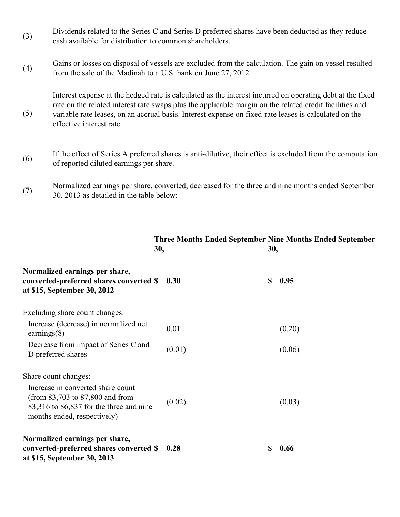- (3) Dividends related to the Series C and Series D preferred shares have been deducted as they reduce cash available for distribution to common shareholders.
- (4) Gains or losses on disposal of vessels are excluded from the calculation. The gain on vessel resulted from the sale of the Madinah to a U.S. bank on June 27, 2012.

(5)

Interest expense at the hedged rate is calculated as the interest incurred on operating debt at the fixed rate on the related interest rate swaps plus the applicable margin on the related credit facilities and variable rate leases, on an accrual basis. Interest expense on fixed-rate leases is calculated on the effective interest rate.

- (6) If the effect of Series A preferred shares is anti-dilutive, their effect is excluded from the computation of reported diluted earnings per share.
- (7) Normalized earnings per share, converted, decreased for the three and nine months ended September 30, 2013 as detailed in the table below:

**Three Months Ended September Nine Months Ended September**

|                                                                                                                                                    | 30,    |    | 30, |        |
|----------------------------------------------------------------------------------------------------------------------------------------------------|--------|----|-----|--------|
| Normalized earnings per share,<br>converted-preferred shares converted \$<br>at \$15, September 30, 2012                                           | 0.30   | \$ |     | 0.95   |
| Excluding share count changes:                                                                                                                     |        |    |     |        |
| Increase (decrease) in normalized net<br>earnings $(8)$                                                                                            | 0.01   |    |     | (0.20) |
| Decrease from impact of Series C and<br>D preferred shares                                                                                         | (0.01) |    |     | (0.06) |
| Share count changes:                                                                                                                               |        |    |     |        |
| Increase in converted share count<br>(from $83,703$ to $87,800$ and from<br>83,316 to 86,837 for the three and nine<br>months ended, respectively) | (0.02) |    |     | (0.03) |
| Normalized earnings per share,<br>converted-preferred shares converted \$<br>at \$15, September 30, 2013                                           | 0.28   | S  |     | 0.66   |